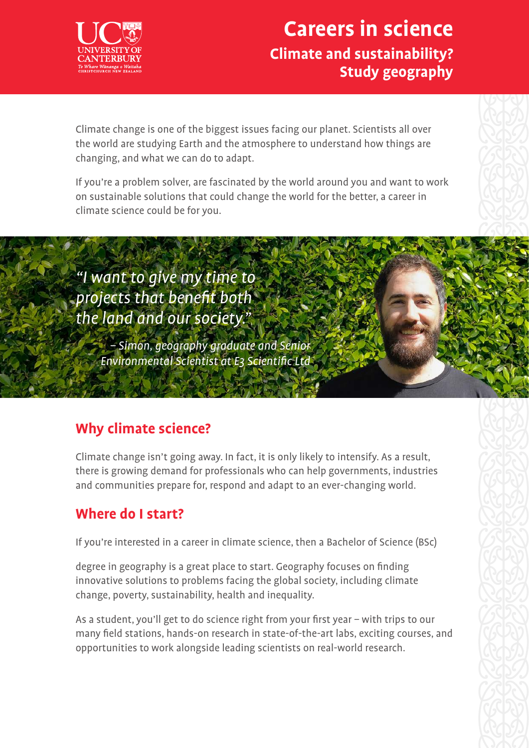

## **Careers in science Climate and sustainability? Study geography**

Climate change is one of the biggest issues facing our planet. Scientists all over the world are studying Earth and the atmosphere to understand how things are changing, and what we can do to adapt.

If you're a problem solver, are fascinated by the world around you and want to work on sustainable solutions that could change the world for the better, a career in climate science could be for you.

"I want to give my time to projects that benefit both the land and our society."

> – Simon, geography graduate and Senior Environmental Scientist at E3 Scientific Ltd

### **Why climate science?**

Climate change isn't going away. In fact, it is only likely to intensify. As a result, there is growing demand for professionals who can help governments, industries and communities prepare for, respond and adapt to an ever-changing world.

### **Where do I start?**

If you're interested in a career in climate science, then a Bachelor of Science (BSc)

degree in geography is a great place to start. Geography focuses on finding innovative solutions to problems facing the global society, including climate change, poverty, sustainability, health and inequality.

As a student, you'll get to do science right from your first year – with trips to our many field stations, hands-on research in state-of-the-art labs, exciting courses, and opportunities to work alongside leading scientists on real-world research.